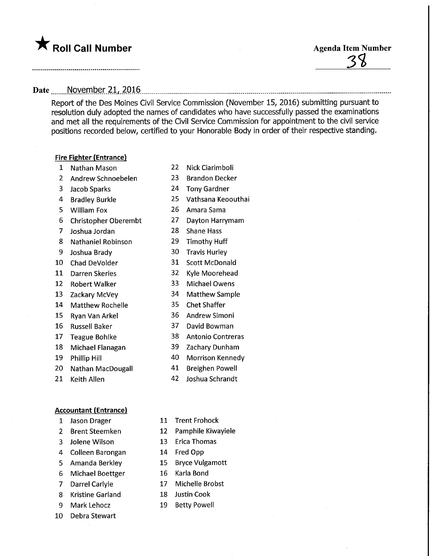## **The Solid Call Number** Agenda Item Number

# 

### Date November 21, 2016

Report of the Des Moines Civil Service Commission (November 15, 2016) submitting pursuant to resolution duly adopted the names of candidates who have successfully passed the examinations and met all the requirements of the Civil Service Commission for appointment to the civil service positions recorded below, certified to your Honorable Body in order of their respective standing.

#### Fire Fighter (Entrance)

- Nathan Mason
- Andrew Schnoebelen
- Jacob Sparks
- Bradley Burkle
- William Fox
- Christopher Oberembt
- Joshua Jordan
- Nathaniel Robinson
- Joshua Brady
- Chad DeVolder
- Darren Skeries
- Robert Walker
- Zackary McVey
- Matthew Rochelle
- Ryan Van Arkel
- Russell Baker
- Teague Bohlke
- Michael Flanagan
- Phillip Hill
- Nathan MacDougall
- Keith Alien

#### Accountant (Entrance)

- Jason Drager
- Brent Steemken
- Jolene Wilson
- Colleen Barongan
- Amanda Berkley
- Michael Boettger
- Darrel Carlyle
- Kristine Garland
- Mark Lehocz
- Debra Stewart
- Nick Ciarimboli Brandon Decker
- 
- Tony Gardner
- 
- 
- Dayton Harrymam
- **Shane Hass**
- Timothy Huff
- Travis Hurley
- Scott McDonald
- 
- 
- Matthew Sample
- 
- AndrewSimoni
- David Bowman
- Antonio Contreras
- Zachary Dunham
- Morrison Kennedy
- Breighen Powell
- Joshua Schrandt
- Trent Frohock
- Pamphile Kiwayiele
- Erica Thomas
- Fred Opp
- BryceVulgamott
- Karla Bond
- Michelle Brobst
- Justin Cook
- Betty Powell
- Vathsana Keoouthai Amara Sama
- 
- 
- 
- 
- 
- Kyle Moorehead
- Michael Owens
- 
- Chet Shaffer